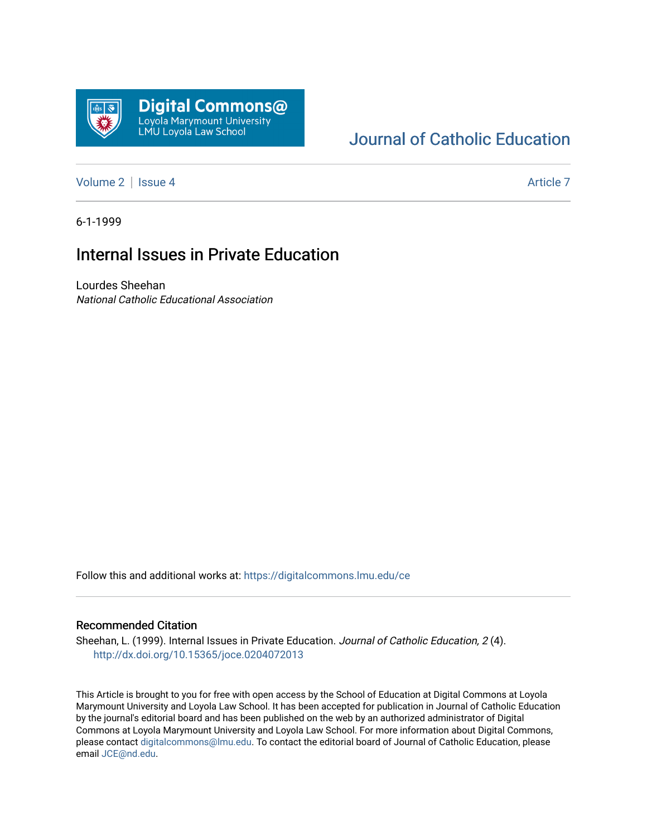

#### [Journal of Catholic Education](https://digitalcommons.lmu.edu/ce)

[Volume 2](https://digitalcommons.lmu.edu/ce/vol2) | [Issue 4](https://digitalcommons.lmu.edu/ce/vol2/iss4) Article 7

6-1-1999

#### Internal Issues in Private Education

Lourdes Sheehan National Catholic Educational Association

Follow this and additional works at: [https://digitalcommons.lmu.edu/ce](https://digitalcommons.lmu.edu/ce?utm_source=digitalcommons.lmu.edu%2Fce%2Fvol2%2Fiss4%2F7&utm_medium=PDF&utm_campaign=PDFCoverPages)

#### Recommended Citation

Sheehan, L. (1999). Internal Issues in Private Education. Journal of Catholic Education, 2(4). <http://dx.doi.org/10.15365/joce.0204072013>

This Article is brought to you for free with open access by the School of Education at Digital Commons at Loyola Marymount University and Loyola Law School. It has been accepted for publication in Journal of Catholic Education by the journal's editorial board and has been published on the web by an authorized administrator of Digital Commons at Loyola Marymount University and Loyola Law School. For more information about Digital Commons, please contact [digitalcommons@lmu.edu](mailto:digitalcommons@lmu.edu). To contact the editorial board of Journal of Catholic Education, please email [JCE@nd.edu](mailto:JCE@nd.edu).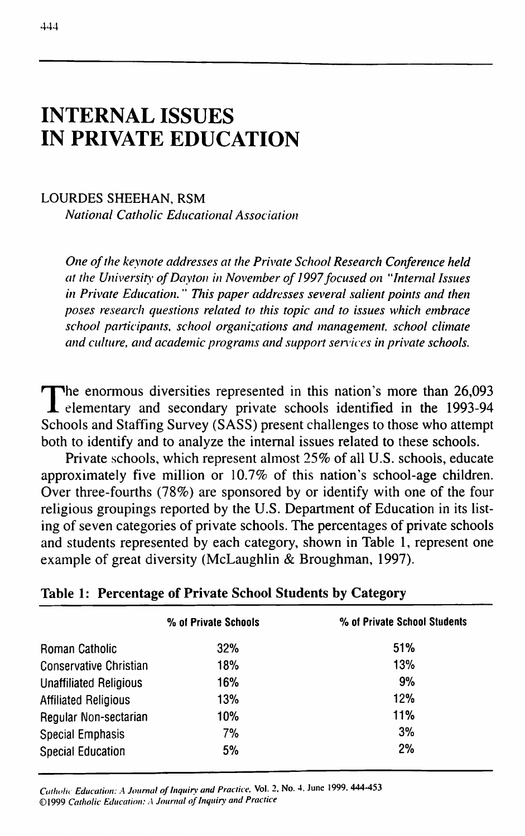# **INTERNAL ISSUES IN PRIVATE EDUCATION**

#### LOURDES SHEEHAN, RSM

*National Catholic Educational Association*

*One of the keynote addresses at the Private School Research Conference held at the University of Dayton in November of 1997 focused on "Internal Issues in Private Education.* " *This paper addresses several salient points and then poses research questions related to this topic and to issues which embrace school participants, school organizations and management, school climate and culture, and academic programs and support sen ices in private schools.*

The enormous diversities represented in this nation's more than 26,093<br>elementary and secondary private schools identified in the 1993-94 elementary and secondary private schools identified in the 1993-94 Schools and Staffing Survey (SASS) present challenges to those who attempt both to identify and to analyze the internal issues related to these schools.

Private schools, which represent almost 25% of all U.S. schools, educate approximately five million or 10.7% of this nation's school-age children. Over three-fourths (78%) are sponsored by or identify with one of the four religious groupings reported by the U.S. Department of Education in its listing of seven categories of private schools. The percentages of private schools and students represented by each category, shown in Table 1, represent one example of great diversity (McLaughlin & Broughman, 1997).

|                               | % of Private Schools | % of Private School Students |
|-------------------------------|----------------------|------------------------------|
| <b>Roman Catholic</b>         | 32%                  | <b>51%</b>                   |
| Conservative Christian        | 18%                  | 13%                          |
| <b>Unaffiliated Religious</b> | 16%                  | 9%                           |
| <b>Affiliated Religious</b>   | 13%                  | 12%                          |
| Regular Non-sectarian         | 10%                  | 11%                          |
| <b>Special Emphasis</b>       | 7%                   | 3%                           |
| <b>Special Education</b>      | 5%                   | 2%                           |

### **Table 1: Percentage of Private School Students by Category**

*Catholu Education: A Journal of Inquiry and Practice.* **Vol. 2. No. 4. June 1999, 444-453 ©1999** *Catholic Education: A Journal of Inquiry and Practice*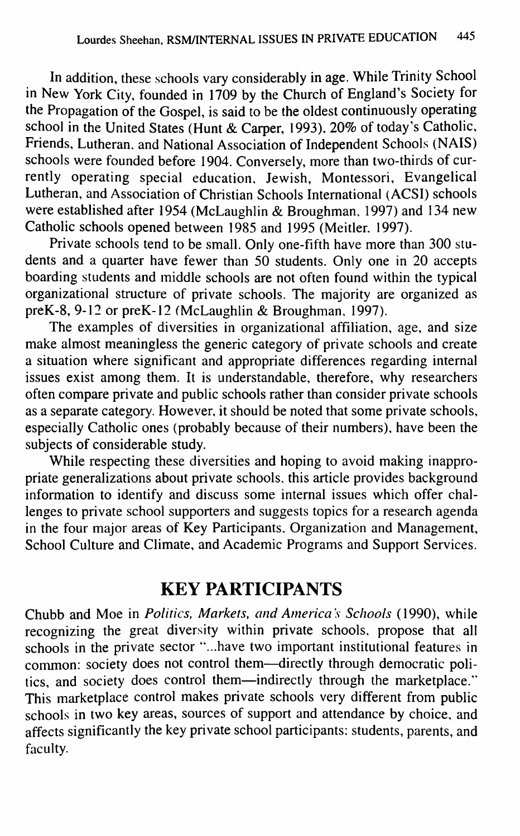In addition, these schools vary considerably in age. While Trinity School in New York City, founded in 1709 by the Church of England's Society for the Propagation of the Gospel, is said to be the oldest continuously operating school in the United States (Hunt & Carper, 1993), 20% of today's Catholic, Friends, Lutheran, and National Association of Independent Schools (NAIS) schools were founded before 1904. Conversely, more than two-thirds of currently operating special education, Jewish, Montessori, Evangelical Lutheran, and Association of Christian Schools International (ACSI) schools were established after 1954 (McLaughlin & Broughman, 1997) and 134 new Catholic schools opened between 1985 and 1995 (Meitler, 1997).

Private schools tend to be small. Only one-fifth have more than 300 students and a quarter have fewer than 50 students. Only one in 20 accepts boarding students and middle schools are not often found within the typical organizational structure of private schools. The majority are organized as preK-8, 9-12 or preK-12 (McLaughlin & Broughman, 1997).

The examples of diversities in organizational affiliation, age, and size make almost meaningless the generic category of private schools and create a situation where significant and appropriate differences regarding internal issues exist among them. It is understandable, therefore, why researchers often compare private and public schools rather than consider private schools as a separate category. However, it should be noted that some private schools, especially Catholic ones (probably because of their numbers), have been the subjects of considerable study.

While respecting these diversities and hoping to avoid making inappropriate generalizations about private schools, this article provides background information to identify and discuss some internal issues which offer challenges to private school supporters and suggests topics for a research agenda in the four major areas of Key Participants, Organization and Management, School Culture and Climate, and Academic Programs and Support Services.

# **KEY PARTICIPANTS**

Chubb and Moe in *Politics, Markets, and America's Schools* (1990), while recognizing the great diversity within private schools, propose that all schools in the private sector "...have two important institutional features in common: society does not control them—directly through democratic politics, and society does control them—indirectly through the marketplace." This marketplace control makes private schools very different from public schools in two key areas, sources of support and attendance by choice, and affects significantly the key private school participants: students, parents, and faculty.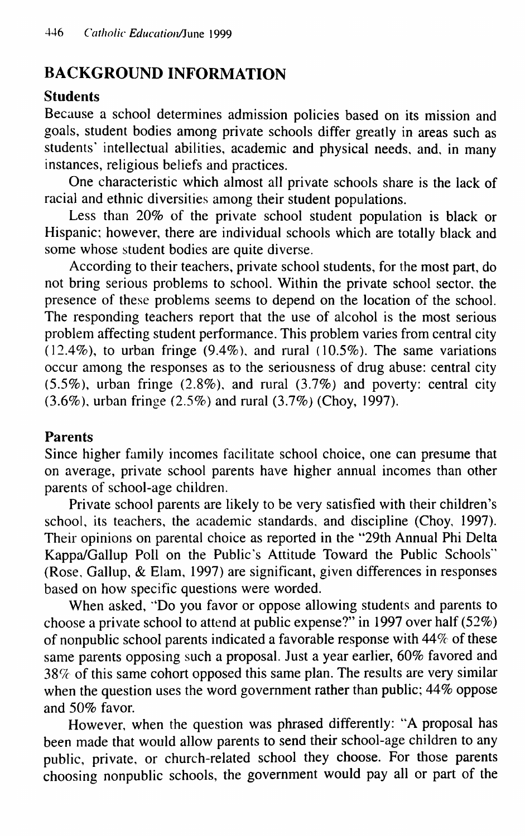# **BACKGROUND INFORMATION**

#### **Students**

Because a school determines admission policies based on its mission and goals, student bodies among private schools differ greatly in areas such as students' intellectual abilities, academic and physical needs, and, in many instances, religious beliefs and practices.

One characteristic which almost all private schools share is the lack of racial and ethnic diversities among their student populations.

Less than 20% of the private school student population is black or Hispanic; however, there are individual schools which are totally black and some whose student bodies are quite diverse.

According to their teachers, private school students, for the most part, do not bring serious problems to school. Within the private school sector, the presence of these problems seems to depend on the location of the school. The responding teachers report that the use of alcohol is the most serious problem affecting student performance. This problem varies from central city  $(12.4\%)$ , to urban fringe (9.4%), and rural (10.5%). The same variations occur among the responses as to the seriousness of drug abuse: central city  $(5.5\%)$ , urban fringe  $(2.8\%)$ , and rural  $(3.7\%)$  and poverty: central city  $(3.6\%)$ , urban fringe  $(2.5\%)$  and rural  $(3.7\%)$  (Choy, 1997).

#### Parents

Since higher family incomes facilitate school choice, one can presume that on average, private school parents have higher annual incomes than other parents of school-age children.

Private school parents are likely to be very satisfied with their children's school, its teachers, the academic standards, and discipline (Choy, 1997). Their opinions on parental choice as reported in the "29th Annual Phi Delta Kappa/Gallup Poll on the Public's Attitude Toward the Public Schools"' (Rose, Gallup, & Elam, 1997) are significant, given differences in responses based on how specific questions were worded.

When asked, "Do you favor or oppose allowing students and parents to choose a private school to attend at public expense?" in 1997 over half (52%) of nonpublic school parents indicated a favorable response with 44% of these same parents opposing such a proposal. Just a year earlier, 60% favored and  $38\%$  of this same cohort opposed this same plan. The results are very similar when the question uses the word government rather than public;  $44\%$  oppose and 50% favor.

However, when the question was phrased differently: "A proposal has been made that would allow parents to send their school-age children to any public, private, or church-related school they choose. For those parents choosing nonpublic schools, the government would pay all or part of the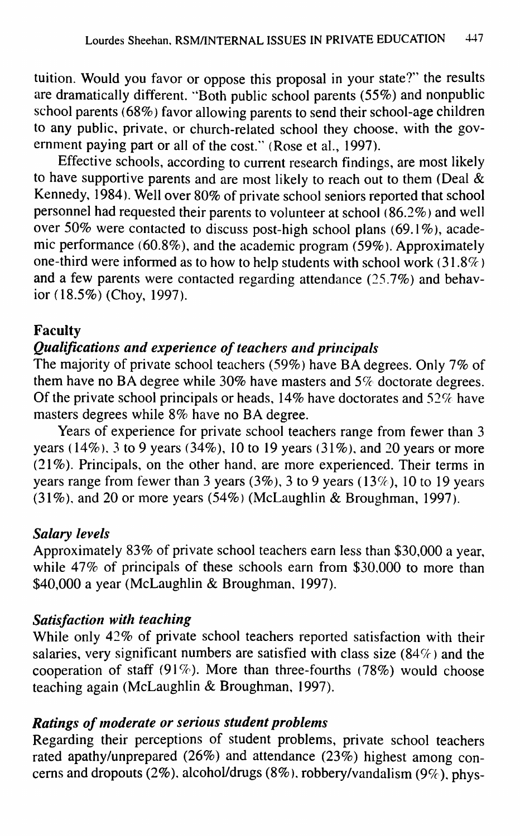tuition. Would you favor or oppose this proposal in your state?" the results are dramatically different. "Both public school parents (55%) and nonpublic school parents (68%) favor allowing parents to send their school-age children to any public, private, or church-related school they choose, with the government paying part or all of the cost." (Rose et al., 1997).

Effective schools, according to current research findings, are most likely to have supportive parents and are most likely to reach out to them (Deal & Kennedy, 1984). Well over 80% of private school seniors reported that school personnel had requested their parents to volunteer at school  $(86.2\%)$  and well over 50% were contacted to discuss post-high school plans (69.1%), academic performance (60.8%), and the academic program (59%). Approximately one-third were informed as to how to help students with school work (31.8%) and a few parents were contacted regarding attendance (25.7%) and behavior (18.5%) (Choy, 1997).

#### **Faculty**

### *Qualifications and experience of teachers and principals*

The majority of private school teachers (59%) have BA degrees. Only 7% of them have no BA degree while 30% have masters and *5%* doctorate degrees. Of the private school principals or heads, 14% have doctorates and 52% have masters degrees while 8% have no BA degree.

Years of experience for private school teachers range from fewer than 3 years (14%), 3 to 9 years (34%), 10 to 19 years (31%), and 20 years or more (21%). Principals, on the other hand, are more experienced. Their terms in years range from fewer than 3 years (3%), 3 to 9 years (13%), 10 to 19 years  $(31\%)$ , and 20 or more years  $(54\%)$  (McLaughlin & Broughman, 1997).

#### *Salary levels*

Approximately 83% of private school teachers earn less than \$30,000 a year, while 47% of principals of these schools earn from \$30,000 to more than \$40,000 a year (McLaughlin & Broughman, 1997).

#### *Satisfaction with teaching*

While only 42% of private school teachers reported satisfaction with their salaries, very significant numbers are satisfied with class size (84%) and the cooperation of staff (91%). More than three-fourths (78%) would choose teaching again (McLaughlin & Broughman, 1997).

#### *Ratings of moderate or serious student problems*

Regarding their perceptions of student problems, private school teachers rated apathy/unprepared (26%) and attendance (23%) highest among concerns and dropouts (2%), alcohol/drugs (8%), robbery/vandalism (9%), phys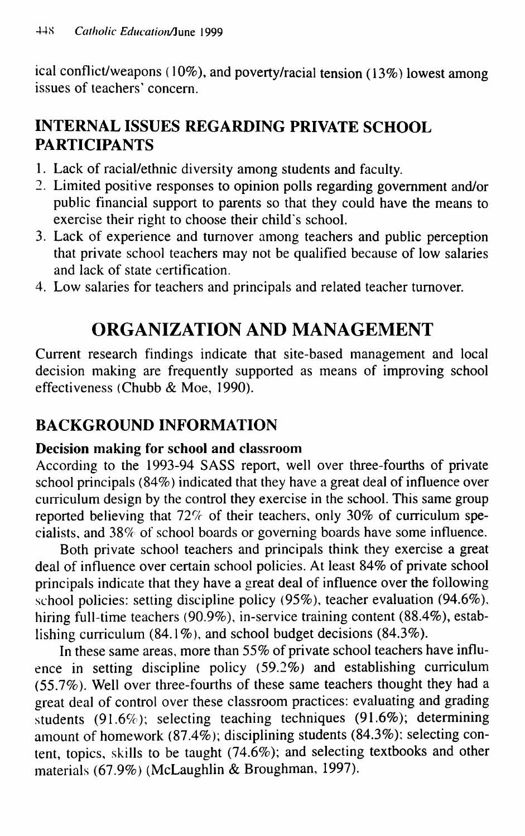ical conflict/weapons (10%), and poverty/racial tension (13%) lowest among issues of teachers' concern.

# **INTERNAL ISSUES REGARDING PRIVATE SCHOOL PARTICIPANTS**

- 1. Lack of racial/ethnic diversity among students and faculty.
- 2. Limited positive responses to opinion polls regarding government and/or public financial support to parents so that they could have the means to exercise their right to choose their child's school.
- 3. Lack of experience and turnover among teachers and public perception that private school teachers may not be qualified because of low salaries and lack of state certification.
- 4. Low salaries for teachers and principals and related teacher turnover.

# **ORGANIZATION AND MANAGEMENT**

Current research findings indicate that site-based management and local decision making are frequently supported as means of improving school effectiveness (Chubb & Moe, 1990).

### BACKGROUND INFORMATION

#### **Decision making for school and classroom**

According to the 1993-94 SASS report, well over three-fourths of private school principals (84%) indicated that they have a great deal of influence over curriculum design by the control they exercise in the school. This same group reported believing that  $72\%$  of their teachers, only 30% of curriculum specialists, and 38% of school boards or governing boards have some influence.

Both private school teachers and principals think they exercise a great deal of influence over certain school policies. At least 84% of private school principals indicate that they have a great deal of influence over the following school policies: setting discipline policy (95%), teacher evaluation (94.6%), hiring full-time teachers (90.9%), in-service training content (88.4%), establishing curriculum (84.1%), and school budget decisions (84.3%).

In these same areas, more than 55% of private school teachers have influence in setting discipline policy (59.2%) and establishing curriculum (55.7%). Well over three-fourths of these same teachers thought they had a great deal of control over these classroom practices: evaluating and grading students (91.6%); selecting teaching techniques (91.6%); determining amount of homework (87.4%); disciplining students (84.3%); selecting content, topics, skills to be taught (74.6%); and selecting textbooks and other materials (67.9%) (McLaughlin & Broughman, 1997).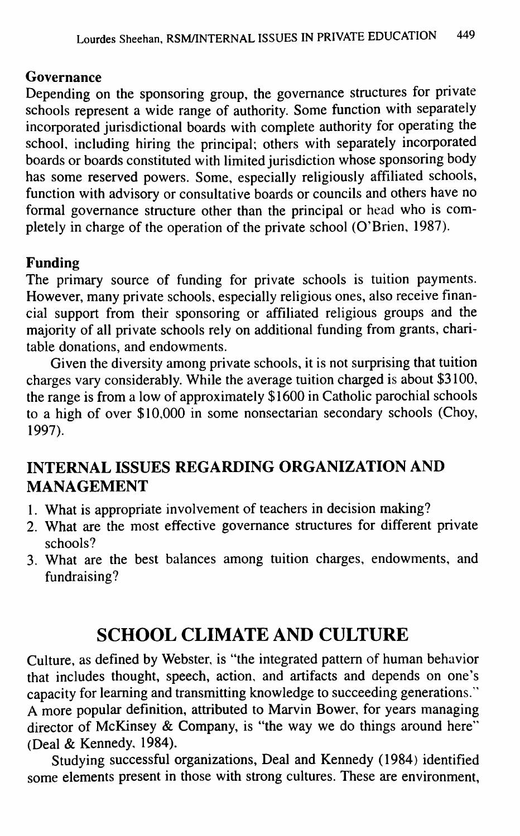#### Governance

Depending on the sponsoring group, the governance structures for private schools represent a wide range of authority. Some function with separately incorporated jurisdictional boards with complete authority for operating the school, including hiring the principal; others with separately incorporated boards or boards constituted with limited jurisdiction whose sponsoring body has some reserved powers. Some, especially religiously affiliated schools, function with advisory or consultative boards or councils and others have no formal governance structure other than the principal or head who is completely in charge of the operation of the private school (O'Brien, 1987).

### **Funding**

The primary source of funding for private schools is tuition payments. However, many private schools, especially religious ones, also receive financial support from their sponsoring or affiliated religious groups and the majority of all private schools rely on additional funding from grants, charitable donations, and endowments.

Given the diversity among private schools, it is not surprising that tuition charges vary considerably. While the average tuition charged is about \$3100, the range is from a low of approximately \$1600 in Catholic parochial schools to a high of over \$10,000 in some nonsectarian secondary schools (Choy, 1997).

# **INTERNAL ISSUES REGARDING ORGANIZATION AND MANAGEMENT**

- 1. What is appropriate involvement of teachers in decision making?
- 2. What are the most effective governance structures for different private schools?
- 3. What are the best balances among tuition charges, endowments, and fundraising?

# **SCHOOL CLIMATE AND CULTURE**

Culture, as defined by Webster, is "the integrated pattern of human behavior that includes thought, speech, action, and artifacts and depends on one's capacity for learning and transmitting knowledge to succeeding generations." A more popular definition, attributed to Marvin Bower, for years managing director of McKinsey & Company, is "the way we do things around here" (Deal & Kennedy, 1984).

Studying successful organizations. Deal and Kennedy (1984) identified some elements present in those with strong cultures. These are environment.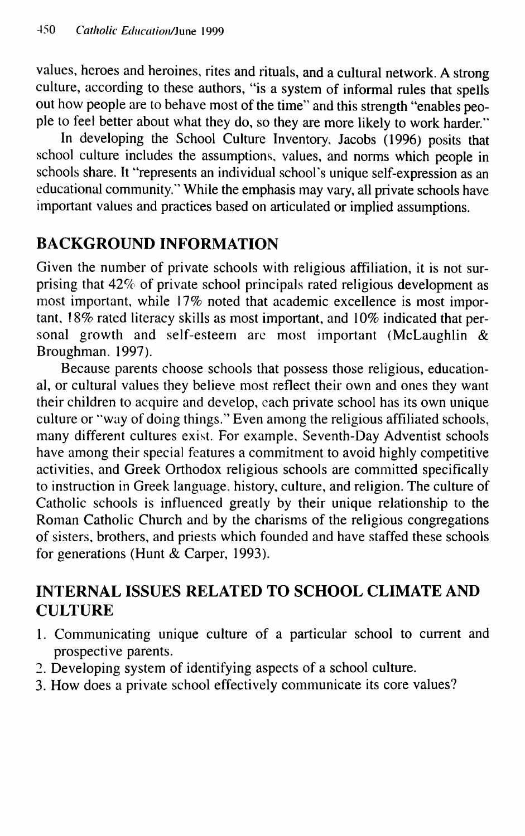values, heroes and heroines, rites and rituals, and a cultural network. A strong culture, according to these authors, "is a system of informal rules that spells out how people are to behave most of the time" and this strength "enables people to feel better about what they do, so they are more likely to work harder."

In developing the School Culture Inventory, Jacobs (1996) posits that school culture includes the assumptions, values, and norms which people in schools share. It "represents an individual school's unique self-expression as an educational community." While the emphasis may vary, all private schools have important values and practices based on articulated or implied assumptions.

# **BACKGROUND INFORMATION**

Given the number of private schools with religious affiliation, it is not surprising that 42% of private school principals rated religious development as most important, while 17% noted that academic excellence is most important, 18% rated literacy skills as most important, and 10% indicated that personal growth and self-esteem are most important (McLaughlin & Broughman. 1997).

Because parents choose schools that possess those religious, educational, or cultural values they believe most reflect their own and ones they want their children to acquire and develop, each private school has its own unique culture or ''way of doing things." Even among the religious affiliated schools, many different cultures exist. For example, Seventh-Day Adventist schools have among their special features a commitment to avoid highly competitive activities, and Greek Orthodox religious schools are committed specifically to instruction in Greek language, history, culture, and religion. The culture of Catholic schools is influenced greatly by their unique relationship to the Roman Catholic Church and by the charisms of the religious congregations of sisters, brothers, and priests which founded and have staffed these schools for generations (Hunt & Carper, 1993).

# INTERNAL ISSUES RELATED TO SCHOOL CLIMATE AND CULTURE

- 1. Communicating unique culture of a particular school to current and prospective parents.
- 2. Developing system of identifying aspects of a school culture.
- 3. How does a private school effectively communicate its core values?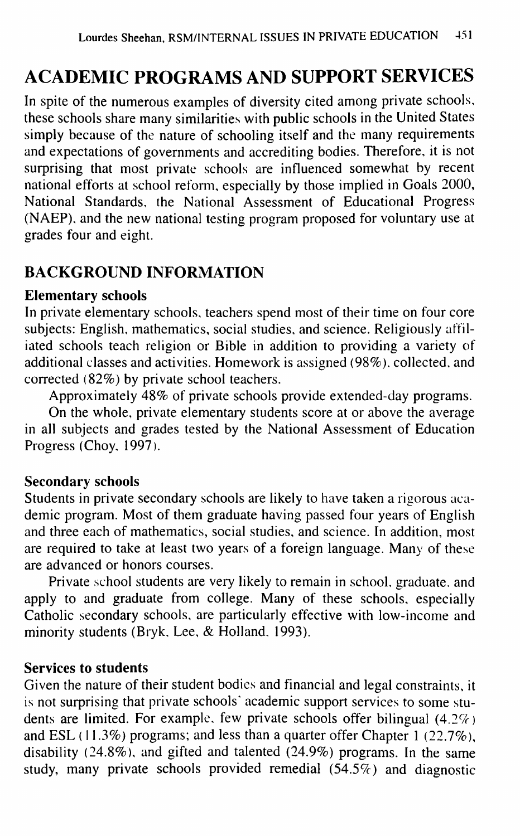# **ACADEMIC PROGRAMS AND SUPPORT SERVICES**

In spite of the numerous examples of diversity cited among private schools, these schools share many similarities with public schools in the United States simply because of the nature of schooling itself and the many requirements and expectations of governments and accrediting bodies. Therefore, it is not surprising that most private schools are influenced somewhat by recent national efforts at school reform, especially by those implied in Goals 2000, National Standards, the National Assessment of Educational Progress (NAEP), and the new national testing program proposed for voluntary use at grades four and eight.

### **BACKGROUND INFORMATION**

#### **Elementary schools**

**In** private elementary schools, teachers spend most of their time on four core subjects: English, mathematics, social studies, and science. Religiously affiliated schools teach religion or Bible in addition to providing a variety of additional classes and activities. Homework is assigned (98%), collected, and corrected (82%) by private school teachers.

Approximately 48% of private schools provide extended-day programs.

On the whole, private elementary students score at or above the average in all subjects and grades tested by the National Assessment of Education Progress (Choy, 1997).

#### Secondary **schools**

Students in private secondary schools are likely to have taken a rigorous academic program. Most of them graduate having passed four years of English and three each of mathematics, social studies, and science. In addition, most are required to take at least two years of a foreign language. Many of these are advanced or honors courses.

Private school students are very likely to remain in school, graduate, and apply to and graduate from college. Many of these schools, especially Catholic secondary schools, are particularly effective with low-income and minority students (Bryk, Lee, & Holland, 1993).

#### **Services to students**

Given the nature of their student bodies and financial and legal constraints, it is not surprising that private schools' academic support services to some students are limited. For example, few private schools offer bilingual  $(4.2\%)$ and ESL (11.3%) programs; and less than a quarter offer Chapter 1 (22.7%), disability (24.8%), and gifted and talented (24.9%) programs. In the same study, many private schools provided remedial  $(54.5\%)$  and diagnostic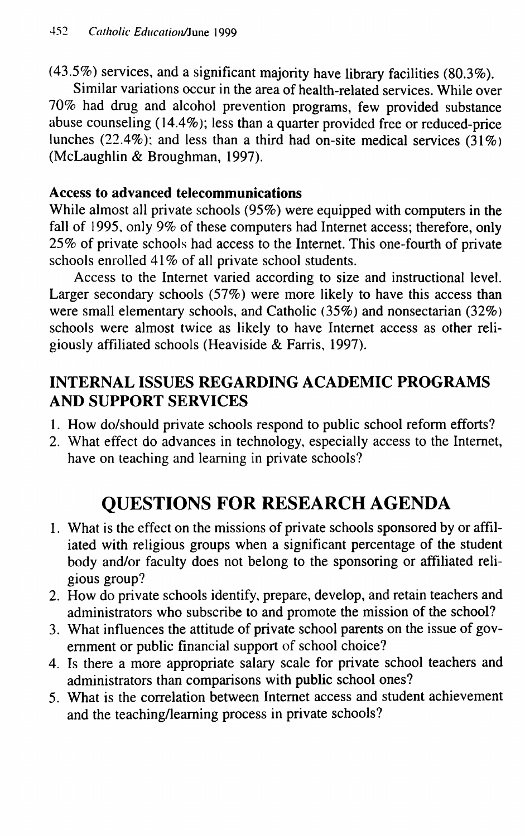(43.5%) services, and a significant majority have library facilities (80.3%).

Similar variations occur in the area of health-related services. While over 70% had drug and alcohol prevention programs, few provided substance abuse counseling (14.4%); less than a quarter provided free or reduced-price lunches  $(22.4\%)$ ; and less than a third had on-site medical services  $(31\%)$ (McLaughlin & Broughman, 1997).

#### **Access to advanced telecommunications**

While almost all private schools (95%) were equipped with computers in the fall of 1995, only 9% of these computers had Internet access; therefore, only 25% of private schools had access to the Internet. This one-fourth of private schools enrolled 41% of all private school students.

Access to the Internet varied according to size and instructional level. Larger secondary schools (57%) were more likely to have this access than were small elementary schools, and Catholic (35%) and nonsectarian (32%) schools were almost twice as likely to have Internet access as other religiously affiliated schools (Heaviside & Farris, 1997).

# **INTERNAL ISSUES REGARDING ACADEMIC PROGRAMS AND SUPPORT SERVICES**

- 1. How do/should private schools respond to public school reform efforts?
- 2. What effect do advances in technology, especially access to the Internet, have on teaching and learning in private schools?

# **QUESTIONS FOR RESEARCH AGENDA**

- 1. What is the effect on the missions of private schools sponsored by or affiliated with religious groups when a significant percentage of the student body and/or faculty does not belong to the sponsoring or affiliated religious group?
- 2. How do private schools identify, prepare, develop, and retain teachers and administrators who subscribe to and promote the mission of the school?
- 3. What influences the attitude of private school parents on the issue of government or public financial support of school choice?
- 4. Is there a more appropriate salary scale for private school teachers and administrators than comparisons with public school ones?
- 5. What is the correlation between Internet access and student achievement and the teaching/learning process in private schools?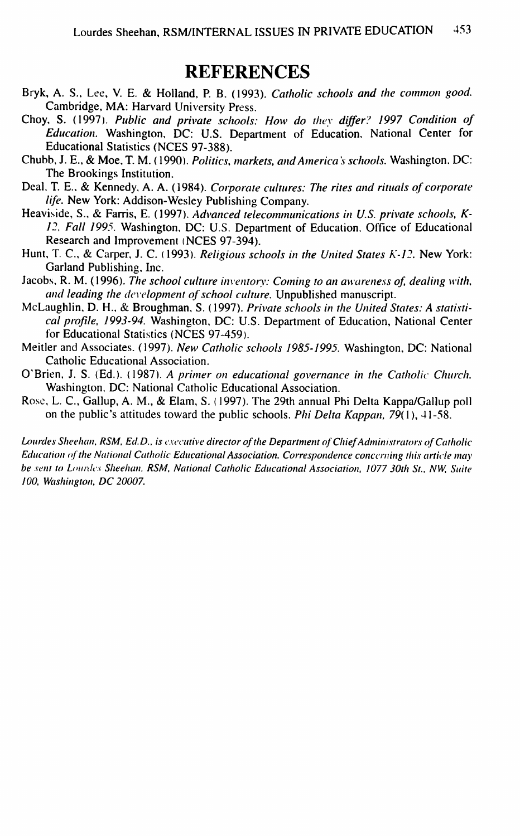### REFERENCES

- Bryk, A. S., Lee, V. E. & Holland, P. B. (1993). *Catholic schools and the common good.* Cambridge, MA: Harvard University Press.
- Choy, S. (1997). *Public and private schools: How do they differ? 1997 Condition of Education.* Washington, DC: U.S. Department of Education, National Center for Educational Statistics (NCES 97-388).
- Chubb, J. E., & Moe, T. M. (1990). *Politics, markets, and America's schools.* Washington. DC: The Brookings Institution.
- Deal. T. E., & Kennedy, A. A. (1984). *Corporate cultures: The rites and rittials of corporate life.* New York: Addison-Wesley Publishing Company.
- Heaviside, S., & Farris, E. (1997). *Advanced telecommunications in U.S. private schools, K-12, Fall 1995.* Washington, DC: U.S. Department of Education. Office of Educational Research and Improvement (NCES 97-394).
- Hunt, T. C., & Carper, J. C. (1993). *Religious schools in the United States K-12*. New York: Garland Publishing, Inc.
- Jacobs, R. M. (1996). *The school culture inventory: Coming to an awareness of, dealing with,* and leading the development of school culture. Unpublished manuscript.
- McLaughlin, D. H., & Broughman, S. (1997). Private schools in the United States: A statisti*cal ptoftle, 1993-94.* Washington, DC: U.S. Department of Education, National Center for Educational Statistics (NCES 97-459).
- Meitler and Associates. (1997). *New Catholic schools 1985-1995.* Washington, DC: National Catholic Educational Association.
- O'Brien, J. S. (Ed.). (1987). A primer on educational governance in the Catholic Church. Washington, DC: National Catholic Educational Association.
- Rose, L. C, Gallup, A. M., & Elam, S. (1997). The 29th annual Phi Delta Kappa/Gallup poll on the public's attitudes toward the public schools. *Phi Delta Kappan,* 79(1), 41-58.

Lourdes Sheehan, RSM, Ed.D., is executive director of the Department of Chief Administrators of Catholic *Education of the National Catholic Educational Association. Correspondence concerning this article may* **be sent to Lourdes Sheehan, RSM, National Catholic Educational Association, 1077 30th St., NW, Suite** *100, Washitigton, DC 20007.*